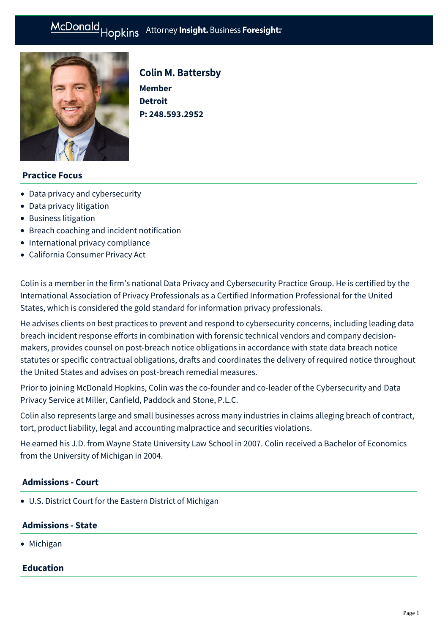# McDonald Hopkins Attorney Insight. Business Foresight:



# Colin M. Battersby

**Member Detroit P: [248.593.2952](tel:248.593.2952)**

# **Practice Focus**

- [Data privacy and cybersecurity](https://mcdonaldhopkins.com/Expertise/Data-privacy-and-cybersecurity)
- [Data privacy litigation](https://mcdonaldhopkins.com/Expertise/Data-privacy-and-cybersecurity/Data-privacy-litigation)
- [Business litigation](https://mcdonaldhopkins.com/Expertise/Litigation/Business-litigation)
- [Breach coaching and incident notification](https://mcdonaldhopkins.com/Expertise/Data-privacy-and-cybersecurity/Breach-coaching-and-incident-notification)
- [International privacy compliance](https://mcdonaldhopkins.com/Expertise/Data-privacy-and-cybersecurity/International-privacy-compliance)
- [California Consumer Privacy Act](https://mcdonaldhopkins.com/Expertise/Data-privacy-and-cybersecurity/California-Consumer-Privacy-Act)

Colin is a member in the firm's national Data Privacy and Cybersecurity Practice Group. He is certified by the International Association of Privacy Professionals as a Certified Information Professional for the United States, which is considered the gold standard for information privacy professionals.

He advises clients on best practices to prevent and respond to cybersecurity concerns, including leading data breach incident response efforts in combination with forensic technical vendors and company decisionmakers, provides counsel on post-breach notice obligations in accordance with state data breach notice statutes or specific contractual obligations, drafts and coordinates the delivery of required notice throughout the United States and advises on post-breach remedial measures.

Prior to joining McDonald Hopkins, Colin was the co-founder and co-leader of the Cybersecurity and Data Privacy Service at Miller, Canfield, Paddock and Stone, P.L.C.

Colin also represents large and small businesses across many industries in claims alleging breach of contract, tort, product liability, legal and accounting malpractice and securities violations.

He earned his J.D. from Wayne State University Law School in 2007. Colin received a Bachelor of Economics from the University of Michigan in 2004.

# **Admissions - Court**

U.S. District Court for the Eastern District of Michigan

#### **Admissions - State**

• Michigan

# **Education**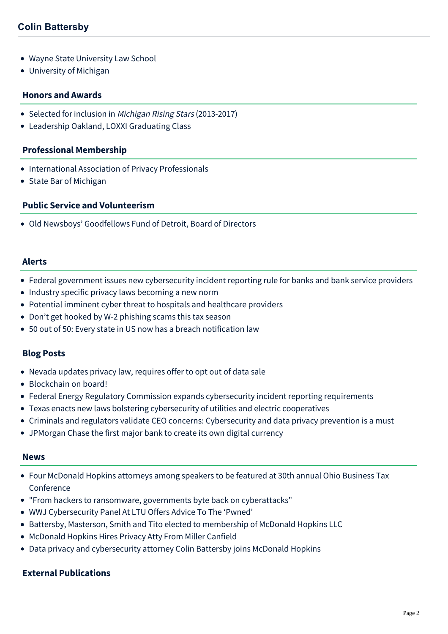- Wayne State University Law School
- University of Michigan

#### **Honors and Awards**

- Selected for inclusion in Michigan Rising Stars (2013-2017)
- Leadership Oakland, LOXXI Graduating Class

#### **Professional Membership**

- International Association of Privacy Professionals
- State Bar of Michigan

# **Public Service and Volunteerism**

Old Newsboys' Goodfellows Fund of Detroit, Board of Directors

#### **Alerts**

- [Federal government issues new cybersecurity incident reporting rule for banks and bank service providers](https://mcdonaldhopkins.com/Insights/November-2021/Federal-government-issues-new-cybersecurity-incide)
- [Industry specific privacy laws becoming a new norm](https://mcdonaldhopkins.com/Insights/February-2021/Industry-specific-privacy-laws-becoming-a-new-norm)
- [Potential imminent cyber threat to hospitals and healthcare providers](https://mcdonaldhopkins.com/Insights/October-2020/Potential-imminent-threat-to-hospitals-and-healthc)
- [Don't get hooked by W-2 phishing scams this tax season](https://mcdonaldhopkins.com/Insights/February-2020/Don%E2%80%99t-get-hooked-by-W-2-phishing-scams-this-tax-se)
- [50 out of 50: Every state in US now has a breach notification law](https://mcdonaldhopkins.com/Insights/April-2018/50-out-of-50-Every-state-in-US-now-has-a-breach-no)

#### **Blog Posts**

- [Nevada updates privacy law, requires offer to opt out of data sale](https://mcdonaldhopkins.com/Insights/October-2019/Nevada-updates-privacy-law-requires-offer-to-opt-o)
- [Blockchain on board!](https://mcdonaldhopkins.com/Insights/July-2019/Blockchain-on-board)
- [Federal Energy Regulatory Commission expands cybersecurity incident reporting requirements](https://mcdonaldhopkins.com/Insights/June-2019/Federal-Energy-Regulatory-Commission-expands-cyber)
- [Texas enacts new laws bolstering cybersecurity of utilities and electric cooperatives](https://mcdonaldhopkins.com/Insights/June-2019/Texas-enacts-new-laws-bolstering-cybersecurity-of)
- [Criminals and regulators validate CEO concerns: Cybersecurity and data privacy prevention is a must](https://mcdonaldhopkins.com/Insights/April-2019/Criminals-and-regulators-agree-Cybersecurity-and-d)
- [JPMorgan Chase the first major bank to create its own digital currency](https://mcdonaldhopkins.com/Insights/February-2019/JPMorgan-Chase-the-first-major-bank-to-create-(1))

#### **News**

- [Four McDonald Hopkins attorneys among speakers to be featured at 30th annual Ohio Business Tax](https://mcdonaldhopkins.com/Insights/January-2021/Four-McDonald-Hopkins-attorneys-among-speakers-to) Conference
- ["From hackers to ransomware, governments byte back on cyberattacks"](https://mcdonaldhopkins.com/Insights/January-2020/From-hackers-to-ransomware,-governments-byte-back)
- [WWJ Cybersecurity Panel At LTU Offers Advice To The 'Pwned'](https://mcdonaldhopkins.com/Insights/October-2019/WWJ-Cybersecurity-Panel-At-LTU-Offers-Advice-To-Th)
- [Battersby, Masterson, Smith and Tito elected to membership of McDonald Hopkins LLC](https://mcdonaldhopkins.com/Insights/September-2019/Four-elected-to-membership-of-McDonald-Hopkins-LLC)
- [McDonald Hopkins Hires Privacy Atty From Miller Canfield](https://mcdonaldhopkins.com/Insights/April-2018/McDonald-Hopkins-Hires-Privacy-Atty-From-Miller-Ca)
- [Data privacy and cybersecurity attorney Colin Battersby joins McDonald Hopkins](https://mcdonaldhopkins.com/Insights/March-2018/Data-privacy-and-cybersecurity-attorney-Colin-Batt)

# **External Publications**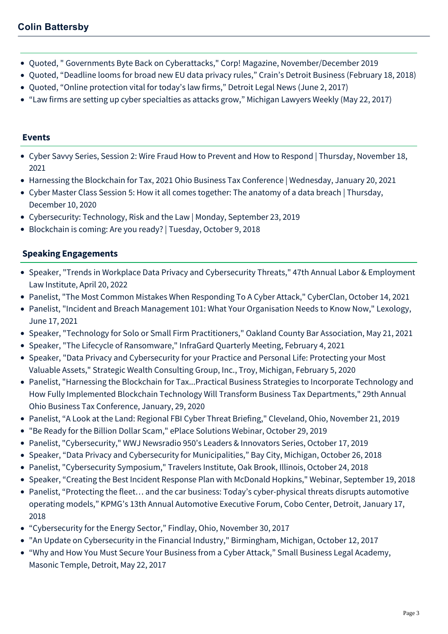- Quoted, " Governments Byte Back on Cyberattacks," Corp! Magazine, November/December 2019
- Quoted, "Deadline looms for broad new EU data privacy rules," Crain's Detroit Business (February 18, 2018)
- Quoted, "Online protection vital for today's law firms," Detroit Legal News (June 2, 2017)
- "Law firms are setting up cyber specialties as attacks grow," Michigan Lawyers Weekly (May 22, 2017)

# **Events**

- [Cyber Savvy Series, Session 2: Wire Fraud How to Prevent and How to Respond | Thursday, November 18,](https://mcdonaldhopkins.com/Events/2021/Cyber-Savvy-Series-Session-2-Wire-Fraud-How-to-Pre) 2021
- [Harnessing the Blockchain for Tax, 2021 Ohio Business Tax Conference | Wednesday, January 20, 2021](https://mcdonaldhopkins.com/Events/2021/Harnessing-the-Blockchain-for-Tax)
- [Cyber Master Class Session 5: How it all comes together: The anatomy of a data breach | Thursday,](https://mcdonaldhopkins.com/Events/2020/Cyber-Master-Class-Session-5) December 10, 2020
- [Cybersecurity: Technology, Risk and the Law | Monday, September 23, 2019](https://mcdonaldhopkins.com/Events/2019/Cybersecurity-Technology-Risk-Law)
- [Blockchain is coming: Are you ready? | Tuesday, October 9, 2018](https://mcdonaldhopkins.com/Events/2018/Blockchain-is-coming-Are-you-ready)

# **Speaking Engagements**

- Speaker, "Trends in Workplace Data Privacy and Cybersecurity Threats," 47th Annual Labor & Employment Law Institute, April 20, 2022
- Panelist, "The Most Common Mistakes When Responding To A Cyber Attack," CyberClan, October 14, 2021
- Panelist, "Incident and Breach Management 101: What Your Organisation Needs to Know Now," Lexology, June 17, 2021
- Speaker, "Technology for Solo or Small Firm Practitioners," Oakland County Bar Association, May 21, 2021
- Speaker, "The Lifecycle of Ransomware," InfraGard Quarterly Meeting, February 4, 2021
- Speaker, "Data Privacy and Cybersecurity for your Practice and Personal Life: Protecting your Most Valuable Assets," Strategic Wealth Consulting Group, Inc., Troy, Michigan, February 5, 2020
- Panelist, "Harnessing the Blockchain for Tax...Practical Business Strategies to Incorporate Technology and How Fully Implemented Blockchain Technology Will Transform Business Tax Departments," 29th Annual Ohio Business Tax Conference, January, 29, 2020
- Panelist, "A Look at the Land: Regional FBI Cyber Threat Briefing," Cleveland, Ohio, November 21, 2019
- "Be Ready for the Billion Dollar Scam," ePlace Solutions Webinar, October 29, 2019
- Panelist, "Cybersecurity," WWJ Newsradio 950's Leaders & Innovators Series, October 17, 2019
- Speaker, "Data Privacy and Cybersecurity for Municipalities," Bay City, Michigan, October 26, 2018
- Panelist, "Cybersecurity Symposium," Travelers Institute, Oak Brook, Illinois, October 24, 2018
- Speaker, "Creating the Best Incident Response Plan with McDonald Hopkins," Webinar, September 19, 2018
- Panelist, "Protecting the fleet… and the car business: Today's cyber-physical threats disrupts automotive operating models," KPMG's 13th Annual Automotive Executive Forum, Cobo Center, Detroit, January 17, 2018
- "Cybersecurity for the Energy Sector," Findlay, Ohio, November 30, 2017
- "An Update on Cybersecurity in the Financial Industry," Birmingham, Michigan, October 12, 2017
- "Why and How You Must Secure Your Business from a Cyber Attack," Small Business Legal Academy, Masonic Temple, Detroit, May 22, 2017